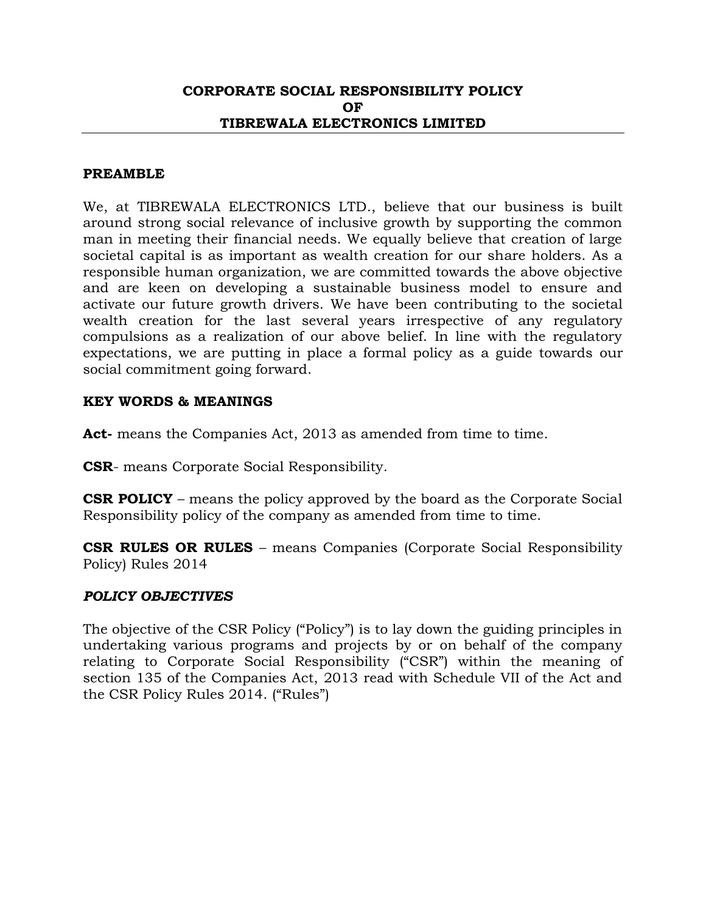#### **CORPORATE SOCIAL RESPONSIBILITY POLICY OF TIBREWALA ELECTRONICS LIMITED**

#### **PREAMBLE**

We, at TIBREWALA ELECTRONICS LTD., believe that our business is built around strong social relevance of inclusive growth by supporting the common man in meeting their financial needs. We equally believe that creation of large societal capital is as important as wealth creation for our share holders. As a responsible human organization, we are committed towards the above objective and are keen on developing a sustainable business model to ensure and activate our future growth drivers. We have been contributing to the societal wealth creation for the last several years irrespective of any regulatory compulsions as a realization of our above belief. In line with the regulatory expectations, we are putting in place a formal policy as a guide towards our social commitment going forward.

#### **KEY WORDS & MEANINGS**

Act- means the Companies Act, 2013 as amended from time to time.

**CSR**- means Corporate Social Responsibility.

**CSR POLICY** – means the policy approved by the board as the Corporate Social Responsibility policy of the company as amended from time to time.

**CSR RULES OR RULES** – means Companies (Corporate Social Responsibility Policy) Rules 2014

#### *POLICY OBJECTIVES*

The objective of the CSR Policy ("Policy") is to lay down the guiding principles in undertaking various programs and projects by or on behalf of the company relating to Corporate Social Responsibility ("CSR") within the meaning of section 135 of the Companies Act, 2013 read with Schedule VII of the Act and the CSR Policy Rules 2014. ("Rules")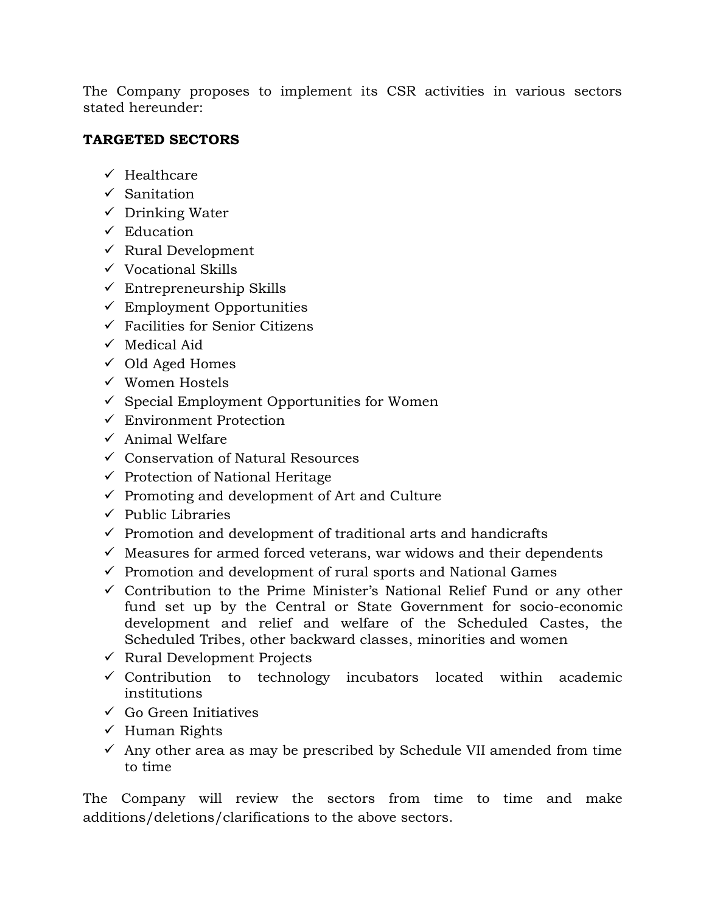The Company proposes to implement its CSR activities in various sectors stated hereunder:

# **TARGETED SECTORS**

- $\checkmark$  Healthcare
- $\checkmark$  Sanitation
- $\checkmark$  Drinking Water
- $\checkmark$  Education
- $\checkmark$  Rural Development
- $\checkmark$  Vocational Skills
- $\checkmark$  Entrepreneurship Skills
- $\checkmark$  Employment Opportunities
- $\checkmark$  Facilities for Senior Citizens
- $\checkmark$  Medical Aid
- $\checkmark$  Old Aged Homes
- Women Hostels
- $\checkmark$  Special Employment Opportunities for Women
- $\checkmark$  Environment Protection
- $\checkmark$  Animal Welfare
- $\checkmark$  Conservation of Natural Resources
- $\checkmark$  Protection of National Heritage
- $\checkmark$  Promoting and development of Art and Culture
- $\checkmark$  Public Libraries
- $\checkmark$  Promotion and development of traditional arts and handicrafts
- $\checkmark$  Measures for armed forced veterans, war widows and their dependents
- $\checkmark$  Promotion and development of rural sports and National Games
- $\checkmark$  Contribution to the Prime Minister's National Relief Fund or any other fund set up by the Central or State Government for socio-economic development and relief and welfare of the Scheduled Castes, the Scheduled Tribes, other backward classes, minorities and women
- $\checkmark$  Rural Development Projects
- $\checkmark$  Contribution to technology incubators located within academic institutions
- $\checkmark$  Go Green Initiatives
- $\checkmark$  Human Rights
- $\checkmark$  Any other area as may be prescribed by Schedule VII amended from time to time

The Company will review the sectors from time to time and make additions/deletions/clarifications to the above sectors.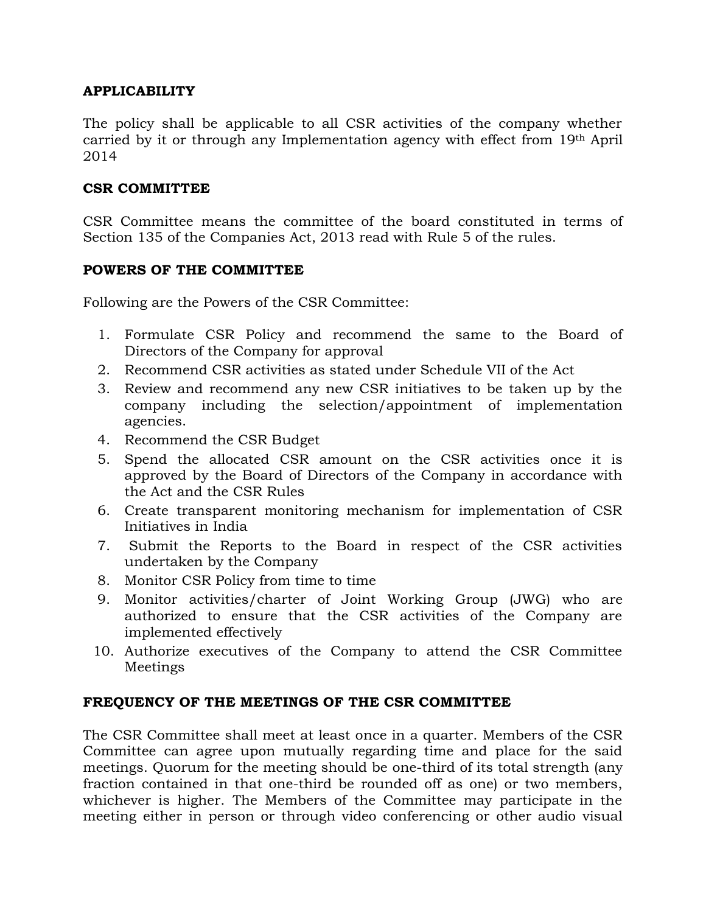# **APPLICABILITY**

The policy shall be applicable to all CSR activities of the company whether carried by it or through any Implementation agency with effect from 19th April 2014

### **CSR COMMITTEE**

CSR Committee means the committee of the board constituted in terms of Section 135 of the Companies Act, 2013 read with Rule 5 of the rules.

#### **POWERS OF THE COMMITTEE**

Following are the Powers of the CSR Committee:

- 1. Formulate CSR Policy and recommend the same to the Board of Directors of the Company for approval
- 2. Recommend CSR activities as stated under Schedule VII of the Act
- 3. Review and recommend any new CSR initiatives to be taken up by the company including the selection/appointment of implementation agencies.
- 4. Recommend the CSR Budget
- 5. Spend the allocated CSR amount on the CSR activities once it is approved by the Board of Directors of the Company in accordance with the Act and the CSR Rules
- 6. Create transparent monitoring mechanism for implementation of CSR Initiatives in India
- 7. Submit the Reports to the Board in respect of the CSR activities undertaken by the Company
- 8. Monitor CSR Policy from time to time
- 9. Monitor activities/charter of Joint Working Group (JWG) who are authorized to ensure that the CSR activities of the Company are implemented effectively
- 10. Authorize executives of the Company to attend the CSR Committee Meetings

### **FREQUENCY OF THE MEETINGS OF THE CSR COMMITTEE**

The CSR Committee shall meet at least once in a quarter. Members of the CSR Committee can agree upon mutually regarding time and place for the said meetings. Quorum for the meeting should be one-third of its total strength (any fraction contained in that one-third be rounded off as one) or two members, whichever is higher. The Members of the Committee may participate in the meeting either in person or through video conferencing or other audio visual